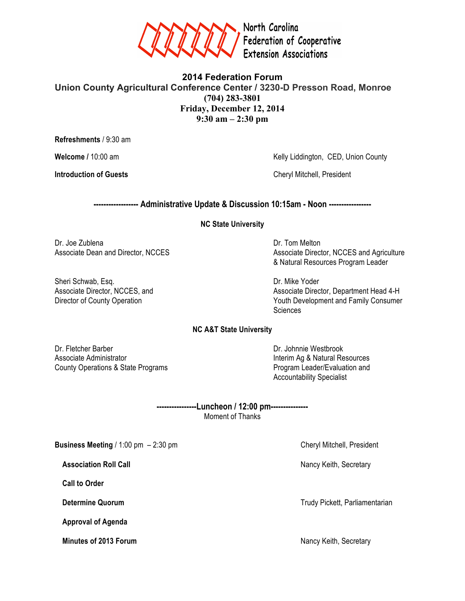

**2014 Federation Forum Union County Agricultural Conference Center / 3230-D Presson Road, Monroe (704) 283-3801 Friday, December 12, 2014 9:30 am – 2:30 pm**

**Refreshments** / 9:30 am

Welcome / 10:00 am Kelly Liddington, CED, Union County

**Introduction of Guests Cheryl Mitchell, President** 

**------------------ Administrative Update & Discussion 10:15am - Noon -----------------**

**NC State University**

Dr. Joe Zublena Dr. Tom Melton Dr. Tom Melton

Sheri Schwab, Esq. **Dr. Mike Yoder** Dr. Mike Yoder

Associate Dean and Director, NCCES Associate Director, NCCES and Agriculture & Natural Resources Program Leader

Associate Director, NCCES, and Associate Director, Department Head 4-H Director of County Operation **Youth Development and Family Consumer Sciences** 

# **NC A&T State University**

Dr. Fletcher Barber Dr. Johnnie Westbrook Associate Administrator **Interim Ag & Natural Resources Interim Ag & Natural Resources** County Operations & State Programs **Program Leader/Evaluation and** 

Accountability Specialist

**----------------Luncheon / 12:00 pm---------------** Moment of Thanks

**Business Meeting** / 1:00 pm – 2:30 pm

 **Call to Order**

 **Approval of Agenda**

**Minutes of 2013 Forum** Nancy Keith, Secretary Nancy Keith, Secretary

**Association Roll Call** Nancy Keith, Secretary Nancy Keith, Secretary

**Determine Quorum** Trudy Pickett, Parliamentarian Number of Trudy Pickett, Parliamentarian